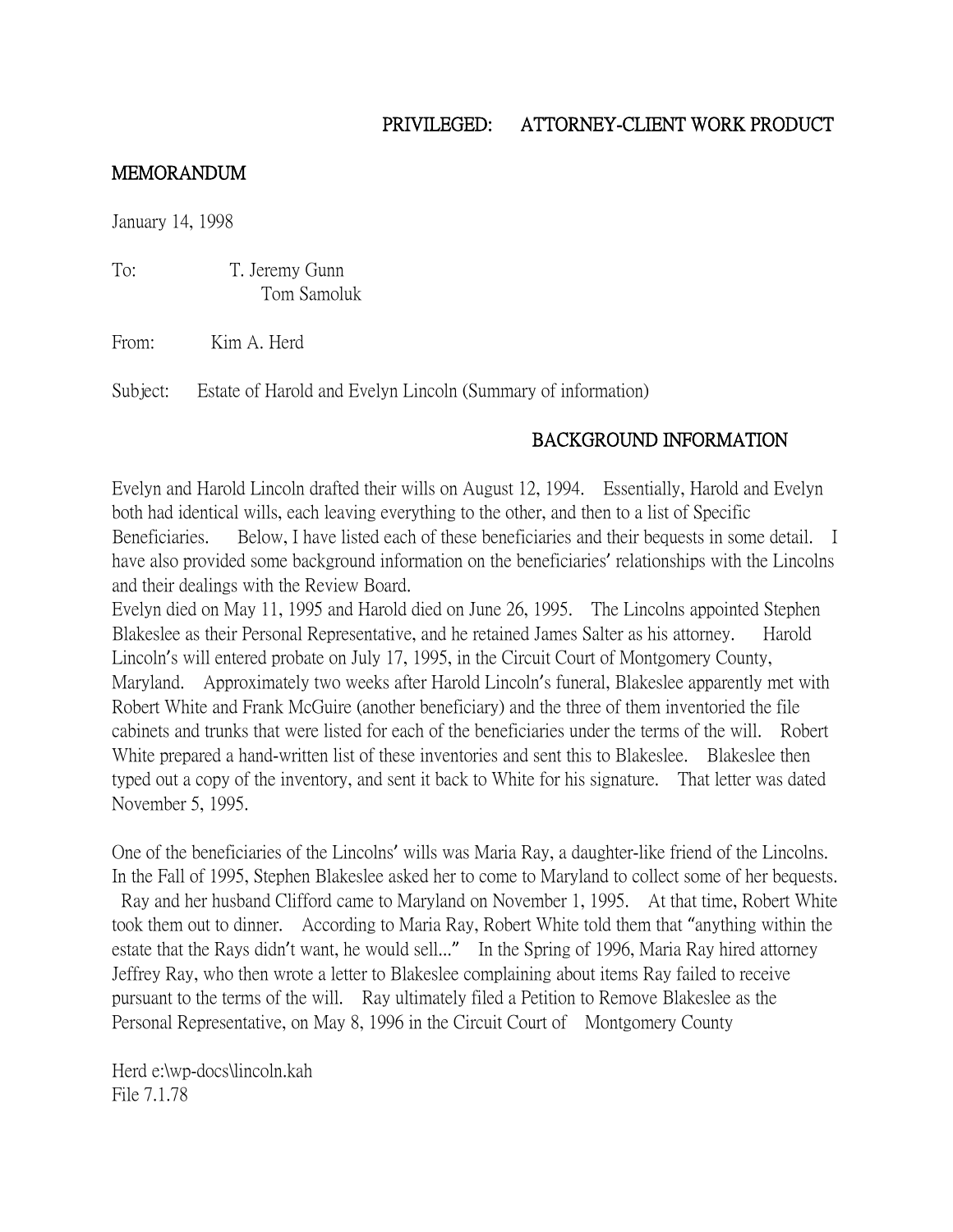# PRIVILEGED: ATTORNEY-CLIENT WORK PRODUCT

#### MEMORANDUM

January 14, 1998

To: T. Jeremy Gunn Tom Samoluk

From: Kim A. Herd

Subject: Estate of Harold and Evelyn Lincoln (Summary of information)

# BACKGROUND INFORMATION

Evelyn and Harold Lincoln drafted their wills on August 12, 1994. Essentially, Harold and Evelyn both had identical wills, each leaving everything to the other, and then to a list of Specific Beneficiaries. Below, I have listed each of these beneficiaries and their bequests in some detail. I have also provided some background information on the beneficiaries' relationships with the Lincolns and their dealings with the Review Board.

Evelyn died on May 11, 1995 and Harold died on June 26, 1995. The Lincolns appointed Stephen Blakeslee as their Personal Representative, and he retained James Salter as his attorney. Harold Lincoln's will entered probate on July 17, 1995, in the Circuit Court of Montgomery County, Maryland. Approximately two weeks after Harold Lincoln's funeral, Blakeslee apparently met with Robert White and Frank McGuire (another beneficiary) and the three of them inventoried the file cabinets and trunks that were listed for each of the beneficiaries under the terms of the will. Robert White prepared a hand-written list of these inventories and sent this to Blakeslee. Blakeslee then typed out a copy of the inventory, and sent it back to White for his signature. That letter was dated November 5, 1995.

One of the beneficiaries of the Lincolns' wills was Maria Ray, a daughter-like friend of the Lincolns. In the Fall of 1995, Stephen Blakeslee asked her to come to Maryland to collect some of her bequests. Ray and her husband Clifford came to Maryland on November 1, 1995. At that time, Robert White took them out to dinner. According to Maria Ray, Robert White told them that "anything within the estate that the Rays didn't want, he would sell..." In the Spring of 1996, Maria Ray hired attorney Jeffrey Ray, who then wrote a letter to Blakeslee complaining about items Ray failed to receive pursuant to the terms of the will. Ray ultimately filed a Petition to Remove Blakeslee as the Personal Representative, on May 8, 1996 in the Circuit Court of Montgomery County

Herd e:\wp-docs\lincoln.kah File 7.1.78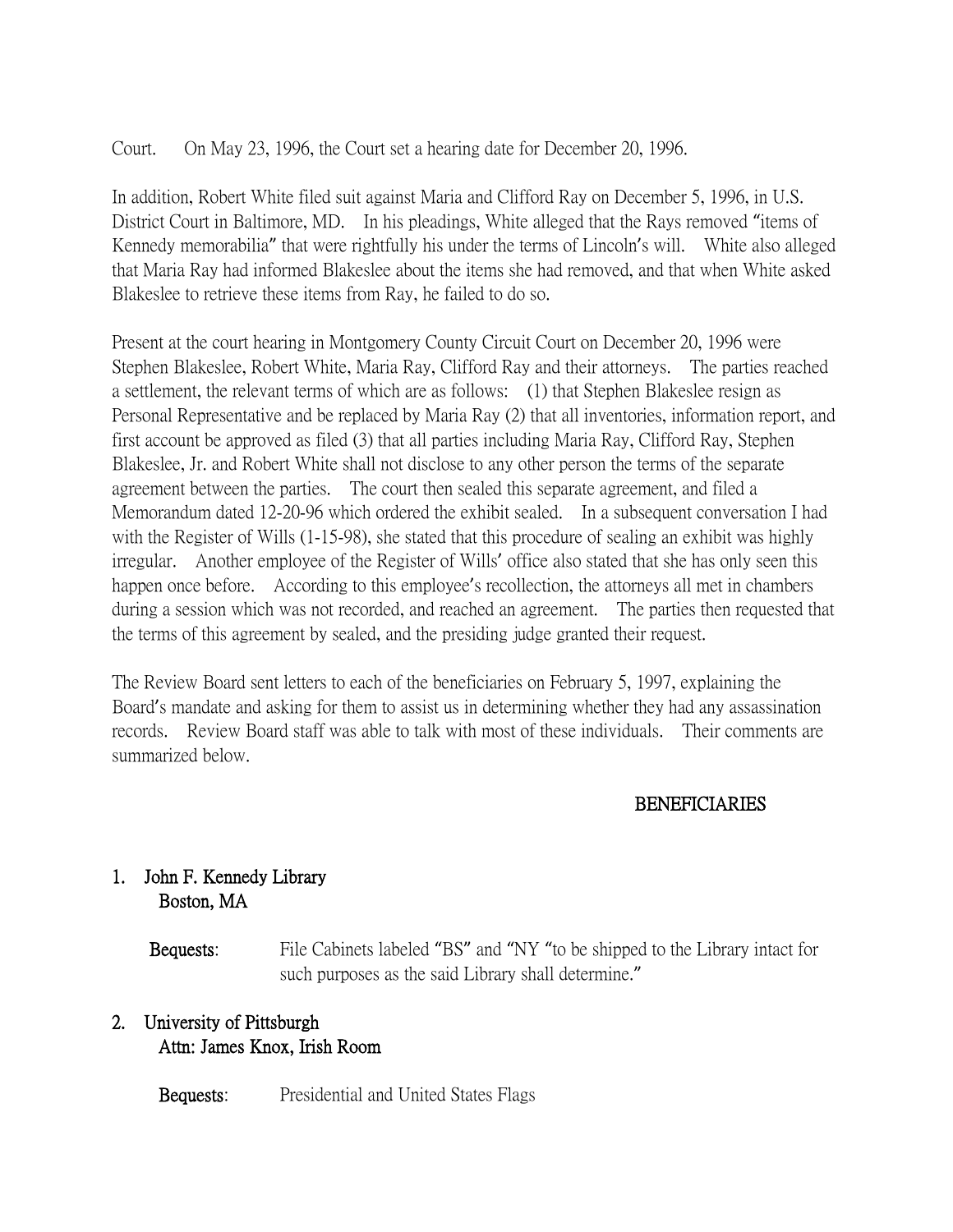Court. On May 23, 1996, the Court set a hearing date for December 20, 1996.

In addition, Robert White filed suit against Maria and Clifford Ray on December 5, 1996, in U.S. District Court in Baltimore, MD. In his pleadings, White alleged that the Rays removed "items of Kennedy memorabilia" that were rightfully his under the terms of Lincoln's will. White also alleged that Maria Ray had informed Blakeslee about the items she had removed, and that when White asked Blakeslee to retrieve these items from Ray, he failed to do so.

Present at the court hearing in Montgomery County Circuit Court on December 20, 1996 were Stephen Blakeslee, Robert White, Maria Ray, Clifford Ray and their attorneys. The parties reached a settlement, the relevant terms of which are as follows: (1) that Stephen Blakeslee resign as Personal Representative and be replaced by Maria Ray (2) that all inventories, information report, and first account be approved as filed (3) that all parties including Maria Ray, Clifford Ray, Stephen Blakeslee, Jr. and Robert White shall not disclose to any other person the terms of the separate agreement between the parties. The court then sealed this separate agreement, and filed a Memorandum dated 12-20-96 which ordered the exhibit sealed. In a subsequent conversation I had with the Register of Wills (1-15-98), she stated that this procedure of sealing an exhibit was highly irregular. Another employee of the Register of Wills' office also stated that she has only seen this happen once before. According to this employee's recollection, the attorneys all met in chambers during a session which was not recorded, and reached an agreement. The parties then requested that the terms of this agreement by sealed, and the presiding judge granted their request.

The Review Board sent letters to each of the beneficiaries on February 5, 1997, explaining the Board's mandate and asking for them to assist us in determining whether they had any assassination records. Review Board staff was able to talk with most of these individuals. Their comments are summarized below.

#### BENEFICIARIES

# 1. John F. Kennedy Library Boston, MA

 Bequests: File Cabinets labeled "BS" and "NY "to be shipped to the Library intact for such purposes as the said Library shall determine."

# 2. University of Pittsburgh Attn: James Knox, Irish Room

Bequests: Presidential and United States Flags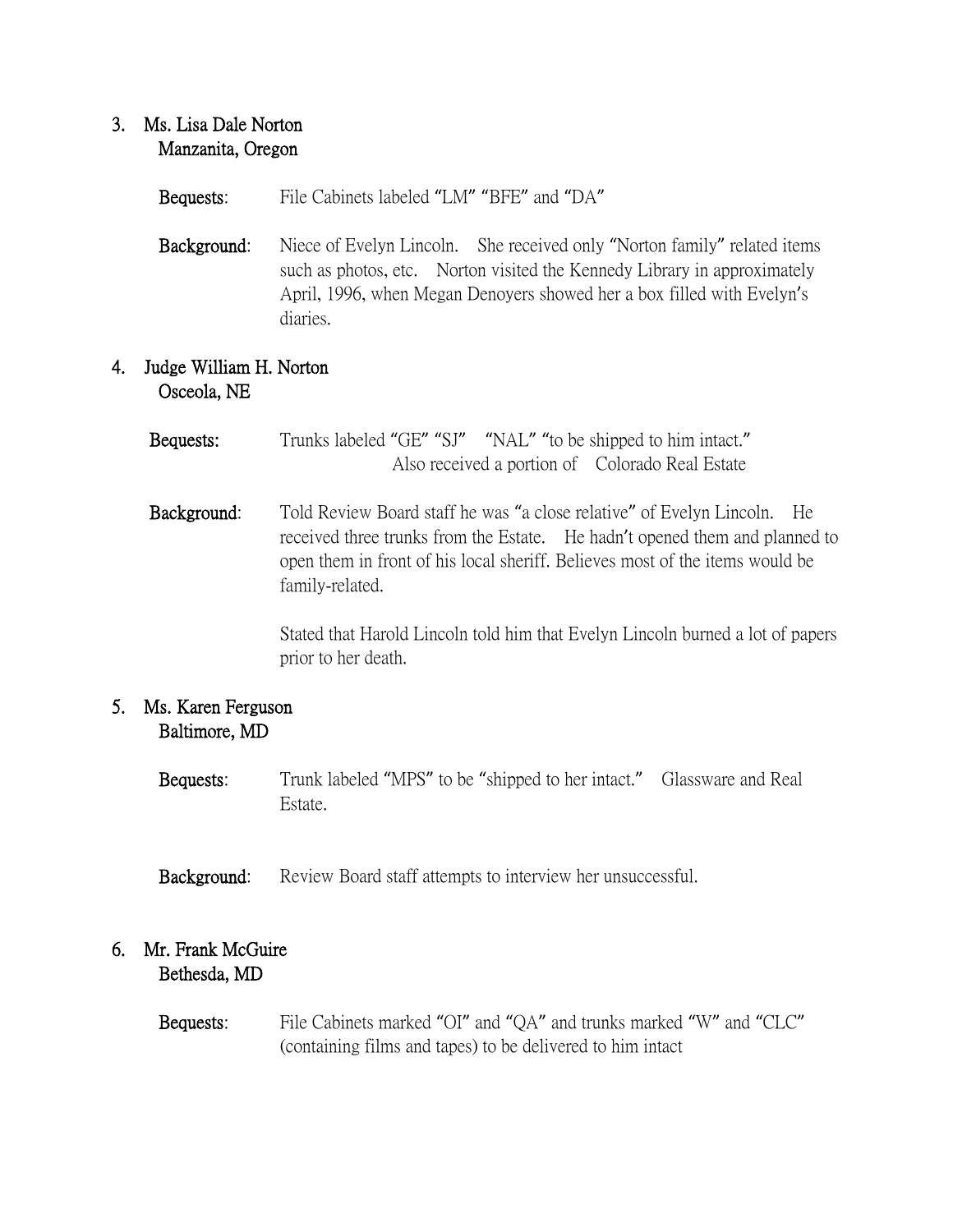## 3. Ms. Lisa Dale Norton Manzanita, Oregon

- Bequests: File Cabinets labeled "LM" "BFE" and "DA"
- Background: Niece of Evelyn Lincoln. She received only "Norton family" related items such as photos, etc. Norton visited the Kennedy Library in approximately April, 1996, when Megan Denoyers showed her a box filled with Evelyn's diaries.

# 4. Judge William H. Norton Osceola, NE

- Bequests: Trunks labeled "GE" "SJ" "NAL" "to be shipped to him intact." Also received a portion of Colorado Real Estate
- Background: Told Review Board staff he was "a close relative" of Evelyn Lincoln. He received three trunks from the Estate. He hadn't opened them and planned to open them in front of his local sheriff. Believes most of the items would be family-related.

Stated that Harold Lincoln told him that Evelyn Lincoln burned a lot of papers prior to her death.

# 5. Ms. Karen Ferguson Baltimore, MD

- Bequests: Trunk labeled "MPS" to be "shipped to her intact." Glassware and Real Estate.
- Background: Review Board staff attempts to interview her unsuccessful.

#### 6. Mr. Frank McGuire Bethesda, MD

 Bequests: File Cabinets marked "OI" and "QA" and trunks marked "W" and "CLC" (containing films and tapes) to be delivered to him intact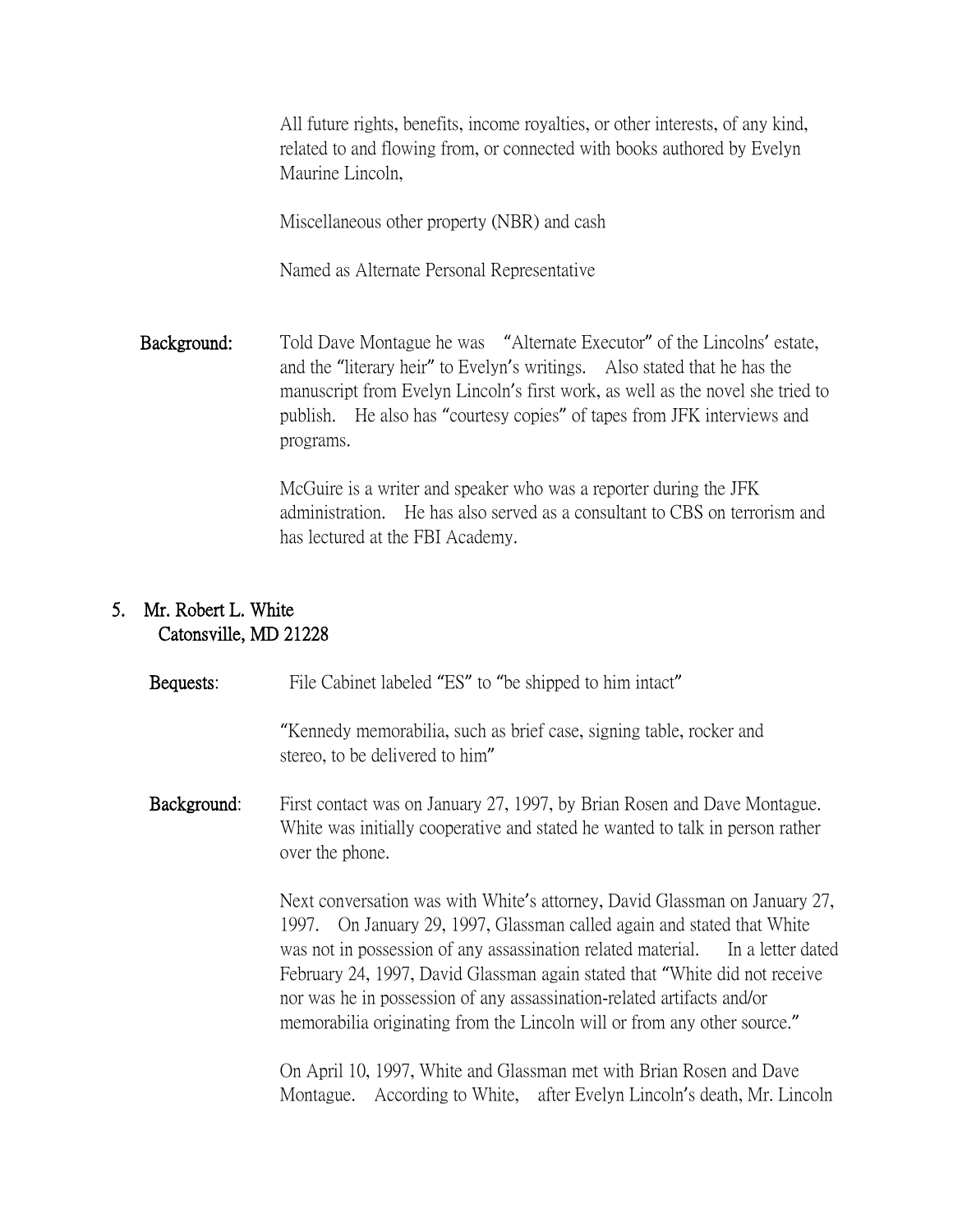All future rights, benefits, income royalties, or other interests, of any kind, related to and flowing from, or connected with books authored by Evelyn Maurine Lincoln,

Miscellaneous other property (NBR) and cash

Named as Alternate Personal Representative

 Background: Told Dave Montague he was "Alternate Executor" of the Lincolns' estate, and the "literary heir" to Evelyn's writings. Also stated that he has the manuscript from Evelyn Lincoln's first work, as well as the novel she tried to publish. He also has "courtesy copies" of tapes from JFK interviews and programs.

> McGuire is a writer and speaker who was a reporter during the JFK administration. He has also served as a consultant to CBS on terrorism and has lectured at the FBI Academy.

# 5. Mr. Robert L. White Catonsville, MD 21228

| Bequests:   | File Cabinet labeled "ES" to "be shipped to him intact"                                                                                                                                                                                                                                                                                                                                                                                                                    |
|-------------|----------------------------------------------------------------------------------------------------------------------------------------------------------------------------------------------------------------------------------------------------------------------------------------------------------------------------------------------------------------------------------------------------------------------------------------------------------------------------|
|             | "Kennedy memorabilia, such as brief case, signing table, rocker and<br>stereo, to be delivered to him"                                                                                                                                                                                                                                                                                                                                                                     |
| Background: | First contact was on January 27, 1997, by Brian Rosen and Dave Montague.<br>White was initially cooperative and stated he wanted to talk in person rather<br>over the phone.                                                                                                                                                                                                                                                                                               |
|             | Next conversation was with White's attorney, David Glassman on January 27,<br>1997. On January 29, 1997, Glassman called again and stated that White<br>was not in possession of any assassination related material. In a letter dated<br>February 24, 1997, David Glassman again stated that "White did not receive<br>nor was he in possession of any assassination-related artifacts and/or<br>memorabilia originating from the Lincoln will or from any other source." |
|             | On April 10, 1997, White and Glassman met with Brian Rosen and Dave<br>According to White, after Evelyn Lincoln's death, Mr. Lincoln<br>Montague.                                                                                                                                                                                                                                                                                                                          |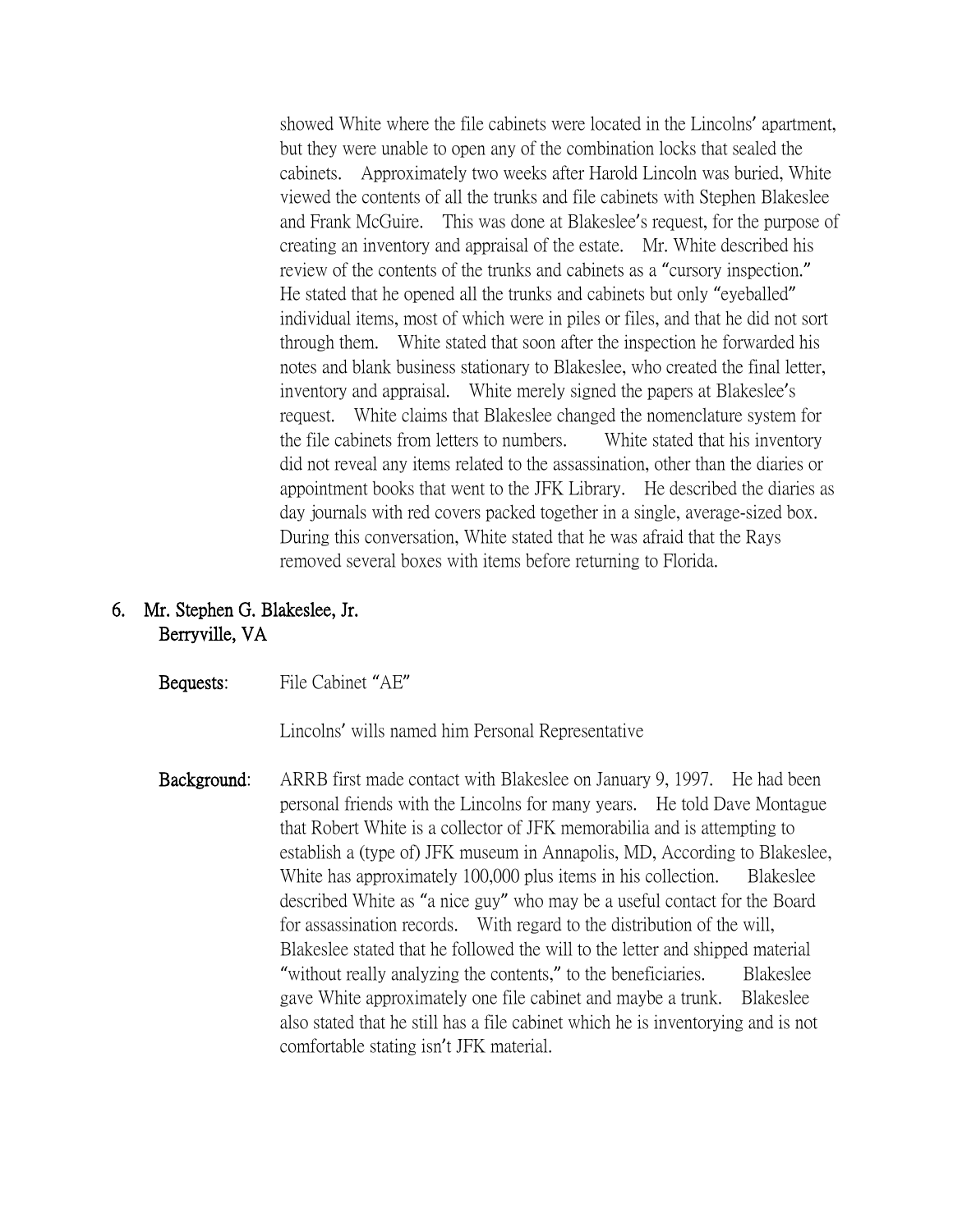showed White where the file cabinets were located in the Lincolns' apartment, but they were unable to open any of the combination locks that sealed the cabinets. Approximately two weeks after Harold Lincoln was buried, White viewed the contents of all the trunks and file cabinets with Stephen Blakeslee and Frank McGuire. This was done at Blakeslee's request, for the purpose of creating an inventory and appraisal of the estate. Mr. White described his review of the contents of the trunks and cabinets as a "cursory inspection." He stated that he opened all the trunks and cabinets but only "eyeballed" individual items, most of which were in piles or files, and that he did not sort through them. White stated that soon after the inspection he forwarded his notes and blank business stationary to Blakeslee, who created the final letter, inventory and appraisal. White merely signed the papers at Blakeslee's request. White claims that Blakeslee changed the nomenclature system for the file cabinets from letters to numbers. White stated that his inventory did not reveal any items related to the assassination, other than the diaries or appointment books that went to the JFK Library. He described the diaries as day journals with red covers packed together in a single, average-sized box. During this conversation, White stated that he was afraid that the Rays removed several boxes with items before returning to Florida.

# 6. Mr. Stephen G. Blakeslee, Jr. Berryville, VA

#### Bequests: File Cabinet "AE"

Lincolns' wills named him Personal Representative

 Background: ARRB first made contact with Blakeslee on January 9, 1997. He had been personal friends with the Lincolns for many years. He told Dave Montague that Robert White is a collector of JFK memorabilia and is attempting to establish a (type of) JFK museum in Annapolis, MD, According to Blakeslee, White has approximately 100,000 plus items in his collection. Blakeslee described White as "a nice guy" who may be a useful contact for the Board for assassination records. With regard to the distribution of the will, Blakeslee stated that he followed the will to the letter and shipped material "without really analyzing the contents," to the beneficiaries. Blakeslee gave White approximately one file cabinet and maybe a trunk. Blakeslee also stated that he still has a file cabinet which he is inventorying and is not comfortable stating isn't JFK material.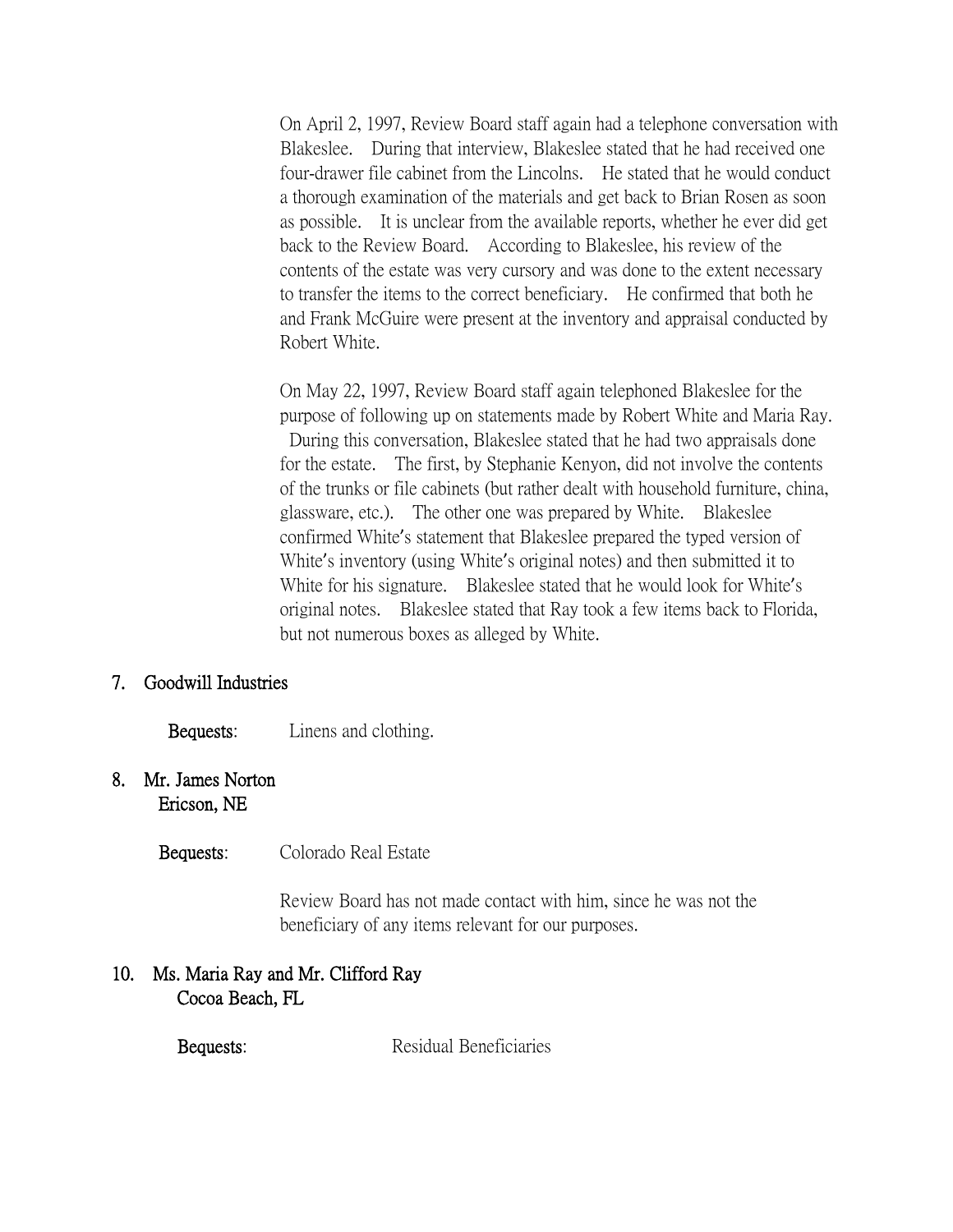On April 2, 1997, Review Board staff again had a telephone conversation with Blakeslee. During that interview, Blakeslee stated that he had received one four-drawer file cabinet from the Lincolns. He stated that he would conduct a thorough examination of the materials and get back to Brian Rosen as soon as possible. It is unclear from the available reports, whether he ever did get back to the Review Board. According to Blakeslee, his review of the contents of the estate was very cursory and was done to the extent necessary to transfer the items to the correct beneficiary. He confirmed that both he and Frank McGuire were present at the inventory and appraisal conducted by Robert White.

On May 22, 1997, Review Board staff again telephoned Blakeslee for the purpose of following up on statements made by Robert White and Maria Ray. During this conversation, Blakeslee stated that he had two appraisals done for the estate. The first, by Stephanie Kenyon, did not involve the contents of the trunks or file cabinets (but rather dealt with household furniture, china, glassware, etc.). The other one was prepared by White. Blakeslee confirmed White's statement that Blakeslee prepared the typed version of White's inventory (using White's original notes) and then submitted it to White for his signature. Blakeslee stated that he would look for White's original notes. Blakeslee stated that Ray took a few items back to Florida, but not numerous boxes as alleged by White.

#### 7. Goodwill Industries

#### Bequests: Linens and clothing.

#### 8. Mr. James Norton Ericson, NE

Bequests: Colorado Real Estate

Review Board has not made contact with him, since he was not the beneficiary of any items relevant for our purposes.

# 10. Ms. Maria Ray and Mr. Clifford Ray Cocoa Beach, FL

Bequests: Residual Beneficiaries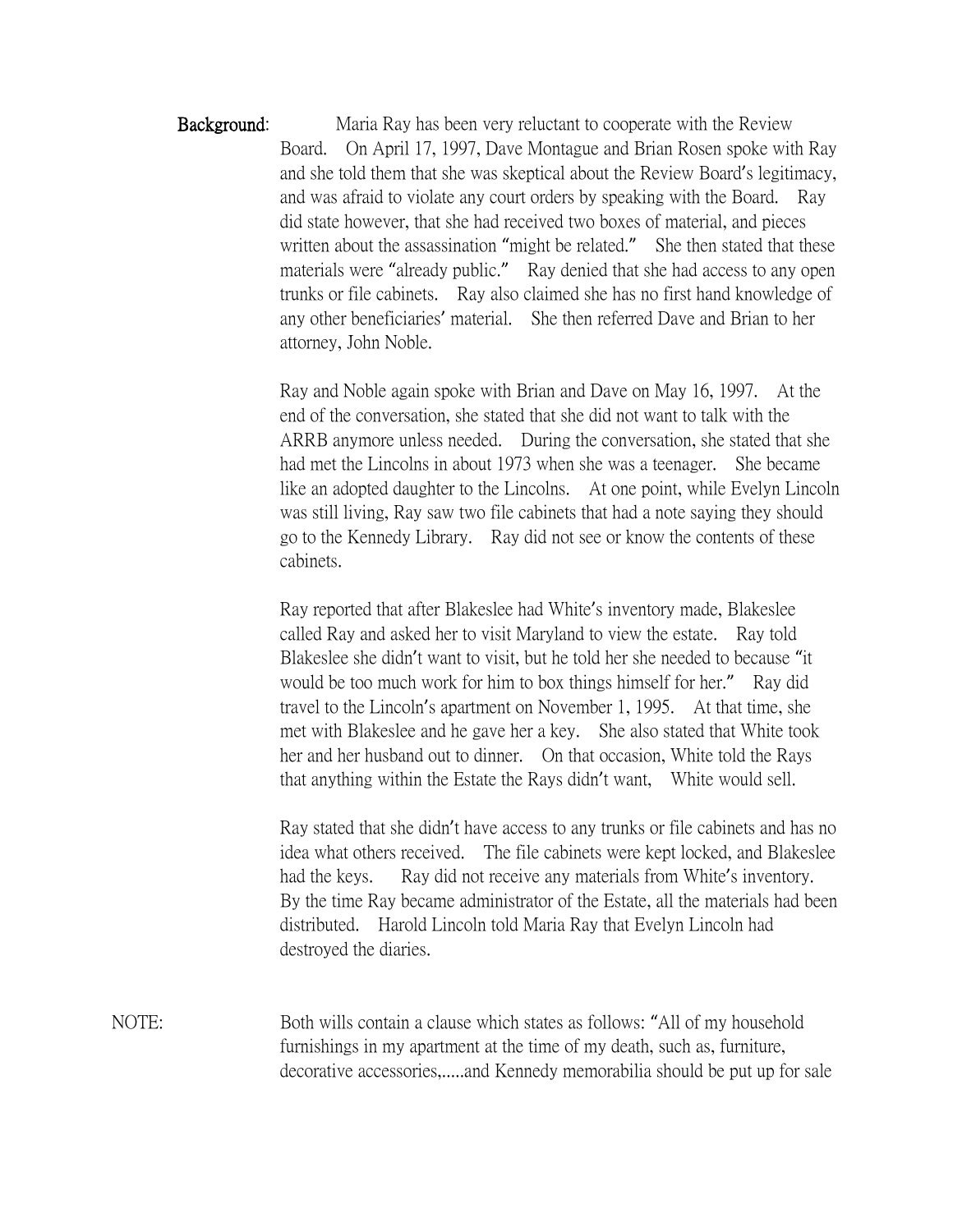Background: Maria Ray has been very reluctant to cooperate with the Review Board. On April 17, 1997, Dave Montague and Brian Rosen spoke with Ray and she told them that she was skeptical about the Review Board's legitimacy, and was afraid to violate any court orders by speaking with the Board. Ray did state however, that she had received two boxes of material, and pieces written about the assassination "might be related." She then stated that these materials were "already public." Ray denied that she had access to any open trunks or file cabinets. Ray also claimed she has no first hand knowledge of any other beneficiaries' material. She then referred Dave and Brian to her attorney, John Noble.

> Ray and Noble again spoke with Brian and Dave on May 16, 1997. At the end of the conversation, she stated that she did not want to talk with the ARRB anymore unless needed. During the conversation, she stated that she had met the Lincolns in about 1973 when she was a teenager. She became like an adopted daughter to the Lincolns. At one point, while Evelyn Lincoln was still living, Ray saw two file cabinets that had a note saying they should go to the Kennedy Library. Ray did not see or know the contents of these cabinets.

Ray reported that after Blakeslee had White's inventory made, Blakeslee called Ray and asked her to visit Maryland to view the estate. Ray told Blakeslee she didn't want to visit, but he told her she needed to because "it would be too much work for him to box things himself for her." Ray did travel to the Lincoln's apartment on November 1, 1995. At that time, she met with Blakeslee and he gave her a key. She also stated that White took her and her husband out to dinner. On that occasion, White told the Rays that anything within the Estate the Rays didn't want, White would sell.

Ray stated that she didn't have access to any trunks or file cabinets and has no idea what others received. The file cabinets were kept locked, and Blakeslee had the keys. Ray did not receive any materials from White's inventory. By the time Ray became administrator of the Estate, all the materials had been distributed. Harold Lincoln told Maria Ray that Evelyn Lincoln had destroyed the diaries.

NOTE: Both wills contain a clause which states as follows: "All of my household furnishings in my apartment at the time of my death, such as, furniture, decorative accessories,.....and Kennedy memorabilia should be put up for sale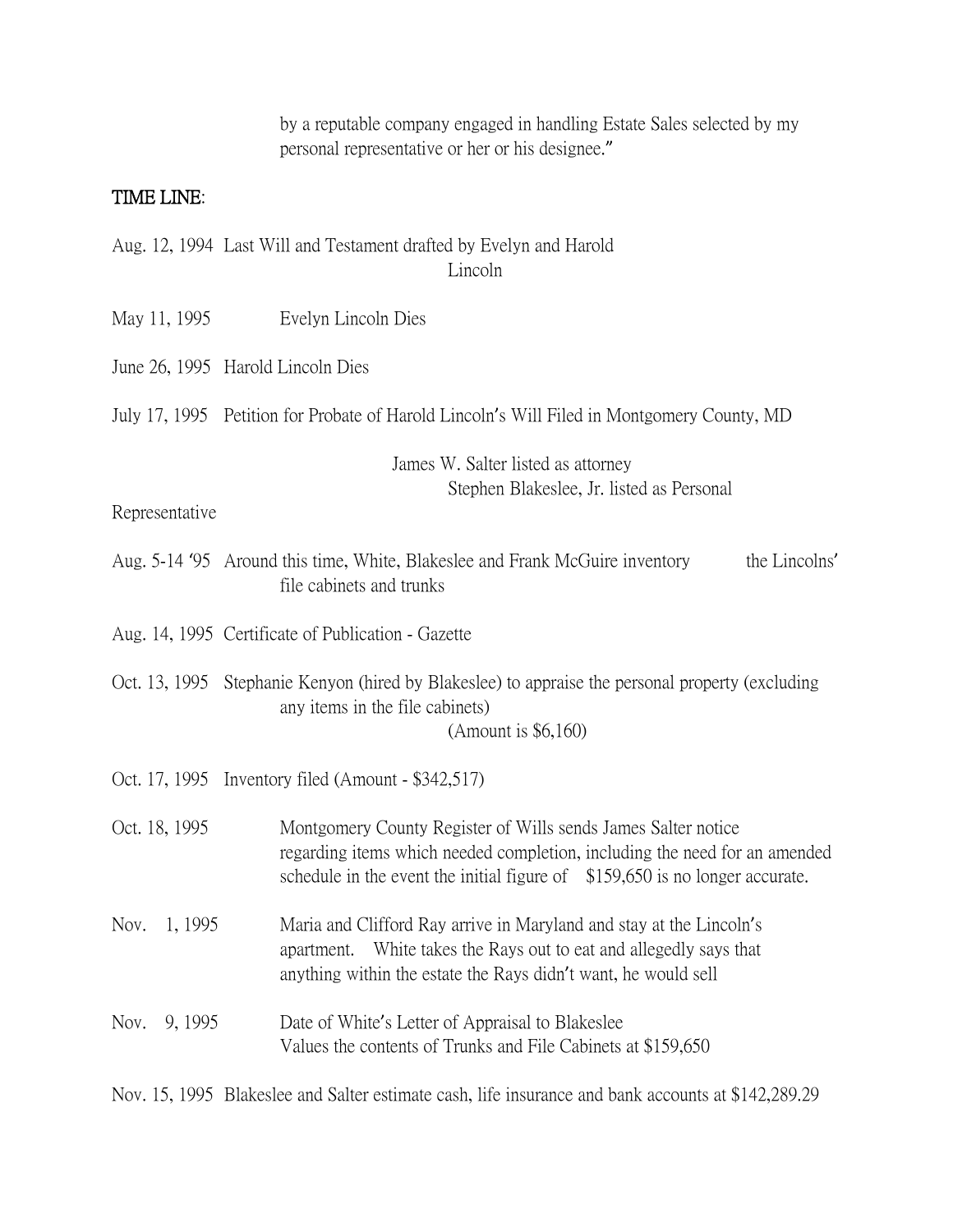|                 | by a reputable company engaged in handling Estate Sales selected by my<br>personal representative or her or his designee."                                                                                                  |
|-----------------|-----------------------------------------------------------------------------------------------------------------------------------------------------------------------------------------------------------------------------|
| TIME LINE:      |                                                                                                                                                                                                                             |
|                 | Aug. 12, 1994 Last Will and Testament drafted by Evelyn and Harold<br>Lincoln                                                                                                                                               |
| May 11, 1995    | Evelyn Lincoln Dies                                                                                                                                                                                                         |
|                 | June 26, 1995 Harold Lincoln Dies                                                                                                                                                                                           |
|                 | July 17, 1995 Petition for Probate of Harold Lincoln's Will Filed in Montgomery County, MD                                                                                                                                  |
| Representative  | James W. Salter listed as attorney<br>Stephen Blakeslee, Jr. listed as Personal                                                                                                                                             |
|                 | Aug. 5-14 '95 Around this time, White, Blakeslee and Frank McGuire inventory<br>the Lincolns'<br>file cabinets and trunks                                                                                                   |
|                 | Aug. 14, 1995 Certificate of Publication - Gazette                                                                                                                                                                          |
|                 | Oct. 13, 1995 Stephanie Kenyon (hired by Blakeslee) to appraise the personal property (excluding<br>any items in the file cabinets)<br>(Amount is $$6,160$ )                                                                |
|                 | Oct. 17, 1995 Inventory filed (Amount - \$342,517)                                                                                                                                                                          |
| Oct. 18, 1995   | Montgomery County Register of Wills sends James Salter notice<br>regarding items which needed completion, including the need for an amended<br>schedule in the event the initial figure of \$159,650 is no longer accurate. |
| 1, 1995<br>Nov. | Maria and Clifford Ray arrive in Maryland and stay at the Lincoln's<br>White takes the Rays out to eat and allegedly says that<br>apartment.<br>anything within the estate the Rays didn't want, he would sell              |
| 9, 1995<br>Nov. | Date of White's Letter of Appraisal to Blakeslee<br>Values the contents of Trunks and File Cabinets at \$159,650                                                                                                            |

Nov. 15, 1995 Blakeslee and Salter estimate cash, life insurance and bank accounts at \$142,289.29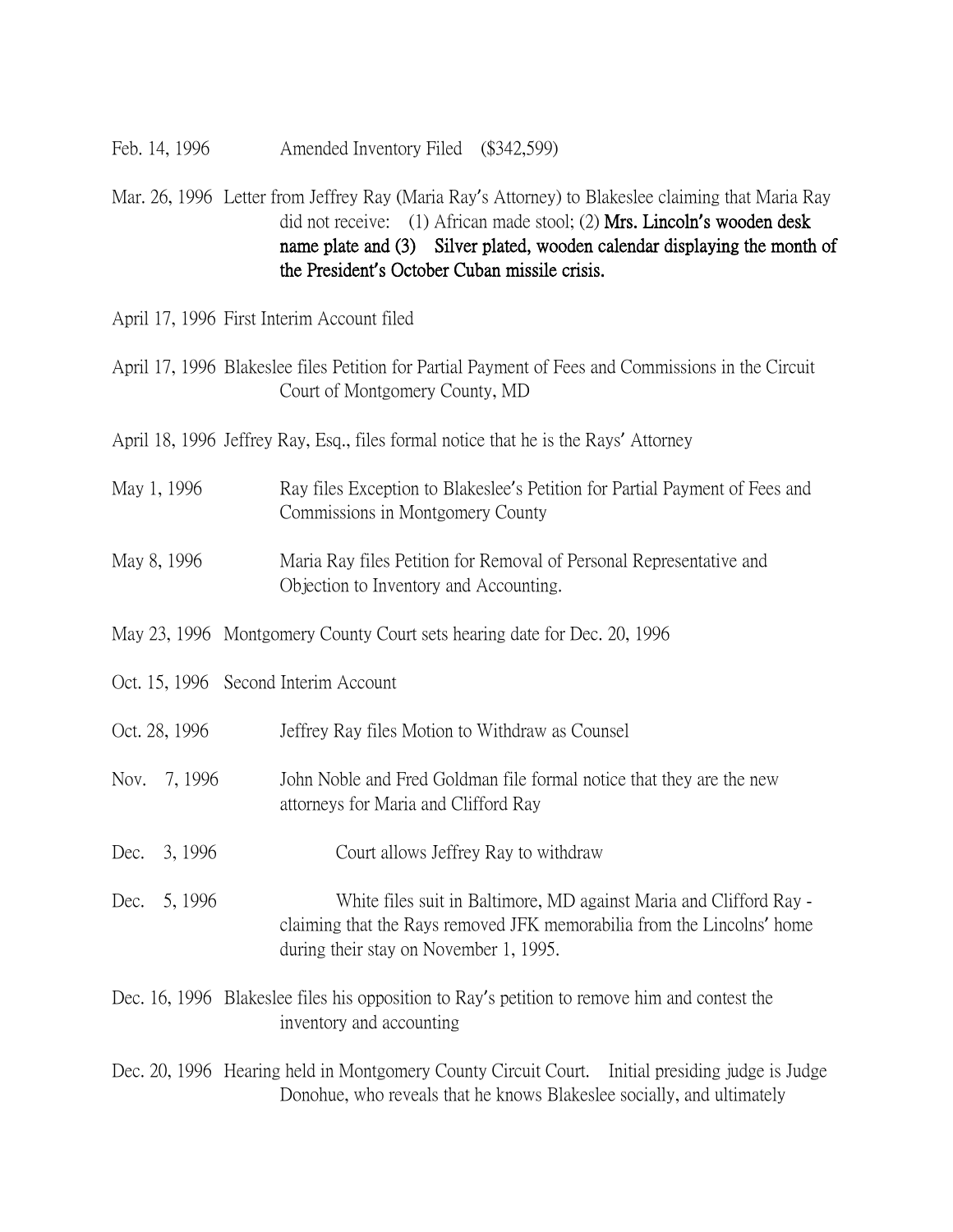- Feb. 14, 1996 Amended Inventory Filed (\$342,599)
- Mar. 26, 1996 Letter from Jeffrey Ray (Maria Ray's Attorney) to Blakeslee claiming that Maria Ray did not receive: (1) African made stool; (2) Mrs. Lincoln**'**s wooden desk name plate and (3) Silver plated, wooden calendar displaying the month of the President**'**s October Cuban missile crisis.
- April 17, 1996 First Interim Account filed
- April 17, 1996 Blakeslee files Petition for Partial Payment of Fees and Commissions in the Circuit Court of Montgomery County, MD
- April 18, 1996 Jeffrey Ray, Esq., files formal notice that he is the Rays' Attorney
- May 1, 1996 Ray files Exception to Blakeslee's Petition for Partial Payment of Fees and Commissions in Montgomery County
- May 8, 1996 Maria Ray files Petition for Removal of Personal Representative and Objection to Inventory and Accounting.
- May 23, 1996 Montgomery County Court sets hearing date for Dec. 20, 1996
- Oct. 15, 1996 Second Interim Account
- Oct. 28, 1996 Jeffrey Ray files Motion to Withdraw as Counsel
- Nov. 7, 1996 John Noble and Fred Goldman file formal notice that they are the new attorneys for Maria and Clifford Ray
- Dec. 3, 1996 Court allows Jeffrey Ray to withdraw
- Dec. 5, 1996 White files suit in Baltimore, MD against Maria and Clifford Ray claiming that the Rays removed JFK memorabilia from the Lincolns' home during their stay on November 1, 1995.
- Dec. 16, 1996 Blakeslee files his opposition to Ray's petition to remove him and contest the inventory and accounting
- Dec. 20, 1996 Hearing held in Montgomery County Circuit Court. Initial presiding judge is Judge Donohue, who reveals that he knows Blakeslee socially, and ultimately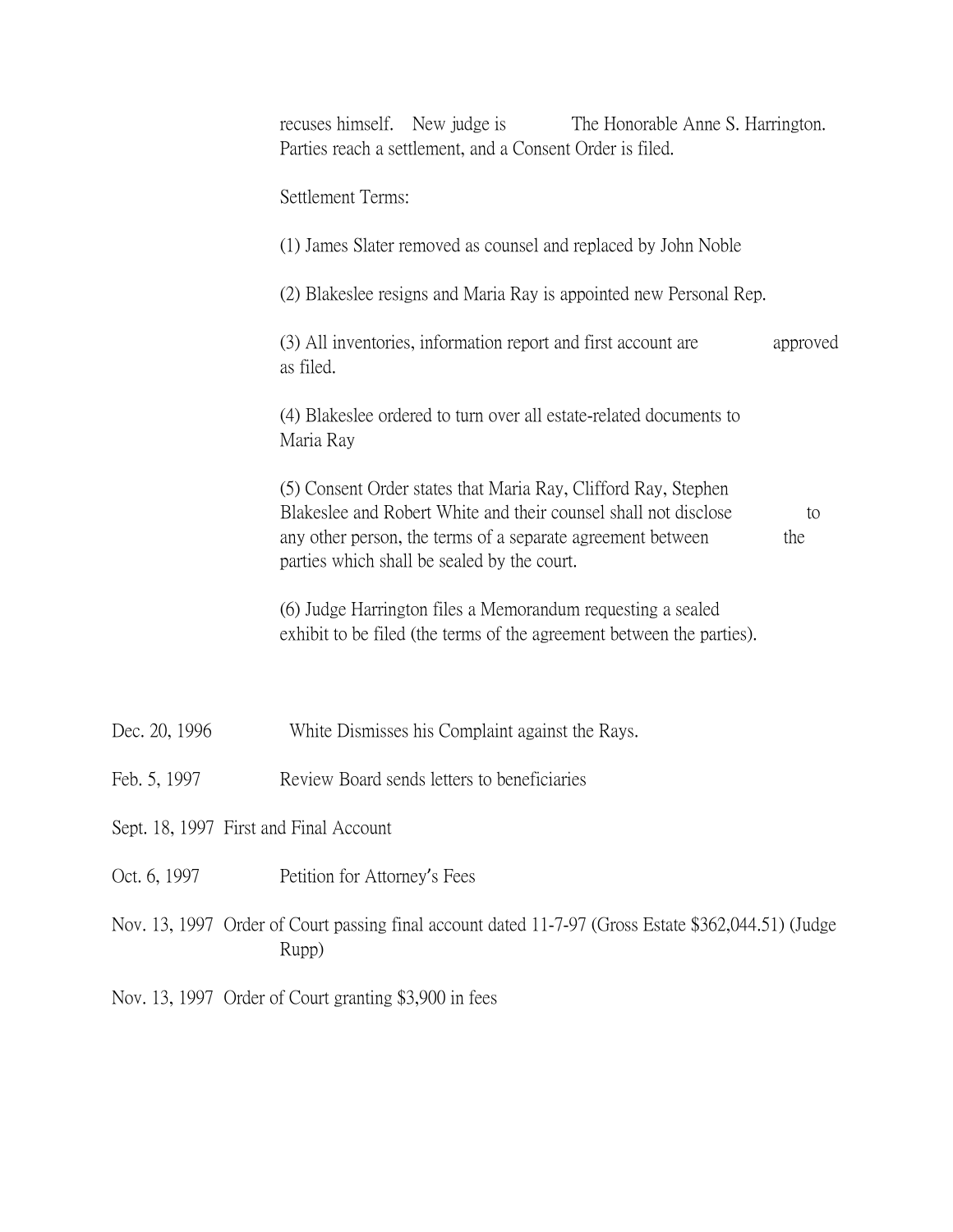|                                        | recuses himself. New judge is<br>The Honorable Anne S. Harrington.<br>Parties reach a settlement, and a Consent Order is filed.                                                                                                                              |  |
|----------------------------------------|--------------------------------------------------------------------------------------------------------------------------------------------------------------------------------------------------------------------------------------------------------------|--|
|                                        | Settlement Terms:                                                                                                                                                                                                                                            |  |
|                                        | (1) James Slater removed as counsel and replaced by John Noble                                                                                                                                                                                               |  |
|                                        | (2) Blakeslee resigns and Maria Ray is appointed new Personal Rep.                                                                                                                                                                                           |  |
|                                        | (3) All inventories, information report and first account are<br>approved<br>as filed.                                                                                                                                                                       |  |
|                                        | (4) Blakeslee ordered to turn over all estate-related documents to<br>Maria Ray                                                                                                                                                                              |  |
|                                        | (5) Consent Order states that Maria Ray, Clifford Ray, Stephen<br>Blakeslee and Robert White and their counsel shall not disclose<br>to<br>any other person, the terms of a separate agreement between<br>the<br>parties which shall be sealed by the court. |  |
|                                        | (6) Judge Harrington files a Memorandum requesting a sealed<br>exhibit to be filed (the terms of the agreement between the parties).                                                                                                                         |  |
|                                        |                                                                                                                                                                                                                                                              |  |
| Dec. 20, 1996                          | White Dismisses his Complaint against the Rays.                                                                                                                                                                                                              |  |
| Feb. 5, 1997                           | Review Board sends letters to beneficiaries                                                                                                                                                                                                                  |  |
| Sept. 18, 1997 First and Final Account |                                                                                                                                                                                                                                                              |  |
| Oct. 6, 1997                           | Petition for Attorney's Fees                                                                                                                                                                                                                                 |  |
|                                        | Nov. 13, 1997 Order of Court passing final account dated 11-7-97 (Gross Estate \$362,044.51) (Judge<br>Rupp)                                                                                                                                                 |  |

Nov. 13, 1997 Order of Court granting \$3,900 in fees